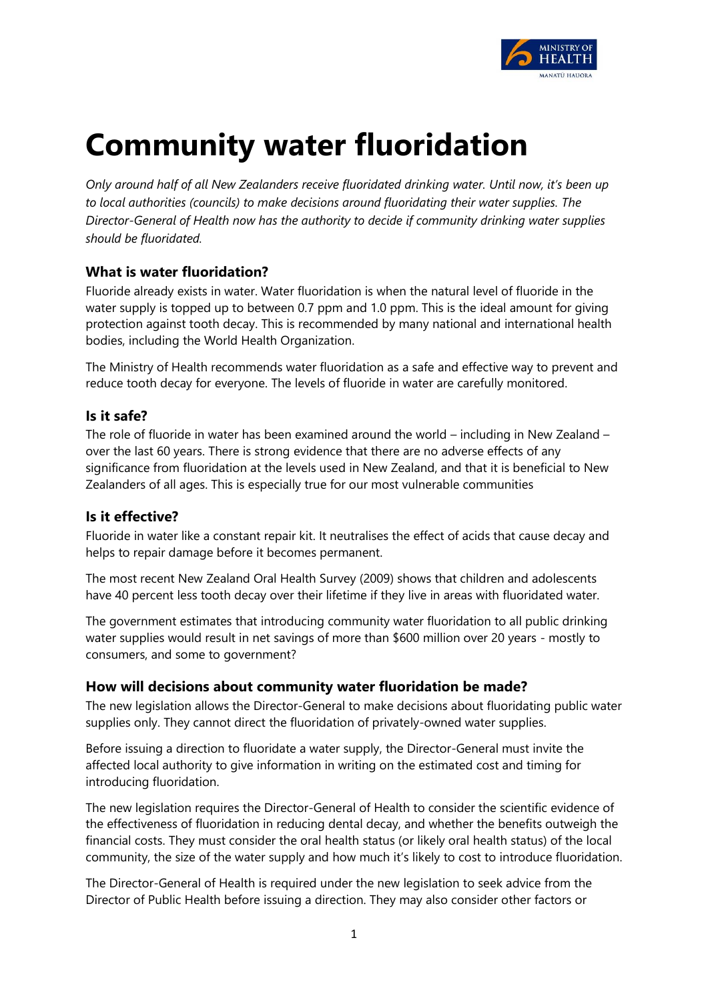

# **Community water fluoridation**

*Only around half of all New Zealanders receive fluoridated drinking water. Until now, it's been up to local authorities (councils) to make decisions around fluoridating their water supplies. The Director-General of Health now has the authority to decide if community drinking water supplies should be fluoridated.* 

# **What is water fluoridation?**

Fluoride already exists in water. Water fluoridation is when the natural level of fluoride in the water supply is topped up to between 0.7 ppm and 1.0 ppm. This is the ideal amount for giving protection against tooth decay. This is recommended by many national and international health bodies, including the World Health Organization.

The Ministry of Health recommends water fluoridation as a safe and effective way to prevent and reduce tooth decay for everyone. The levels of fluoride in water are carefully monitored.

# **Is it safe?**

The role of fluoride in water has been examined around the world – including in New Zealand – over the last 60 years. There is strong evidence that there are no adverse effects of any significance from fluoridation at the levels used in New Zealand, and that it is beneficial to New Zealanders of all ages. This is especially true for our most vulnerable communities

# **Is it effective?**

Fluoride in water like a constant repair kit. It neutralises the effect of acids that cause decay and helps to repair damage before it becomes permanent.

The most recent New Zealand Oral Health Survey (2009) shows that children and adolescents have 40 percent less tooth decay over their lifetime if they live in areas with fluoridated water.

The government estimates that introducing community water fluoridation to all public drinking water supplies would result in net savings of more than \$600 million over 20 years - mostly to consumers, and some to government?

# **How will decisions about community water fluoridation be made?**

The new legislation allows the Director-General to make decisions about fluoridating public water supplies only. They cannot direct the fluoridation of privately-owned water supplies.

Before issuing a direction to fluoridate a water supply, the Director-General must invite the affected local authority to give information in writing on the estimated cost and timing for introducing fluoridation.

The new legislation requires the Director-General of Health to consider the scientific evidence of the effectiveness of fluoridation in reducing dental decay, and whether the benefits outweigh the financial costs. They must consider the oral health status (or likely oral health status) of the local community, the size of the water supply and how much it's likely to cost to introduce fluoridation.

The Director-General of Health is required under the new legislation to seek advice from the Director of Public Health before issuing a direction. They may also consider other factors or